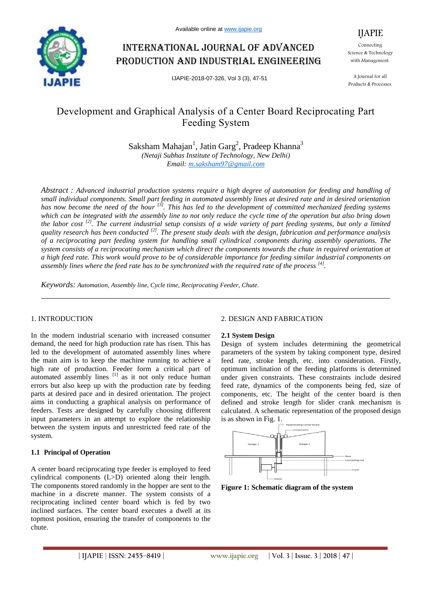

# International journal of advanced production and industrial engineering

IJAPIE-2018-07-326, Vol 3 (3), 47-51



Connecting Science & Technology with Management.

A Journal for all Products & Processes.

# Development and Graphical Analysis of a Center Board Reciprocating Part Feeding System

Saksham Mahajan<sup>1</sup>, Jatin Garg<sup>2</sup>, Pradeep Khanna<sup>3</sup> *(Netaji Subhas Institute of Technology, New Delhi) Email: m.saksham97@gmail.com*

*Abstract : Advanced industrial production systems require a high degree of automation for feeding and handling of small individual components. Small part feeding in automated assembly lines at desired rate and in desired orientation*  has now become the need of the hour <sup>[3]</sup>. This has led to the development of committed mechanized feeding systems *which can be integrated with the assembly line to not only reduce the cycle time of the operation but also bring down the labor cost [2]. The current industrial setup consists of a wide variety of part feeding systems, but only a limited quality research has been conducted [2]. The present study deals with the design, fabrication and performance analysis of a reciprocating part feeding system for handling small cylindrical components during assembly operations. The system consists of a reciprocating mechanism which direct the components towards the chute in required orientation at a high feed rate. This work would prove to be of considerable importance for feeding similar industrial components on assembly lines where the feed rate has to be synchronized with the required rate of the process [4] .*

*Keywords: Automation, Assembly line, Cycle time, Reciprocating Feeder, Chute.*

# 1. INTRODUCTION

In the modern industrial scenario with increased consumer demand, the need for high production rate has risen. This has led to the development of automated assembly lines where the main aim is to keep the machine running to achieve a high rate of production. Feeder form a critical part of automated assembly lines  $\begin{bmatrix} 1 \end{bmatrix}$  as it not only reduce human errors but also keep up with the production rate by feeding parts at desired pace and in desired orientation. The project aims in conducting a graphical analysis on performance of feeders. Tests are designed by carefully choosing different input parameters in an attempt to explore the relationship between the system inputs and unrestricted feed rate of the system.

# **1.1 Principal of Operation**

A center board reciprocating type feeder is employed to feed cylindrical components (L>D) oriented along their length. The components stored randomly in the hopper are sent to the machine in a discrete manner. The system consists of a reciprocating inclined center board which is fed by two inclined surfaces. The center board executes a dwell at its topmost position, ensuring the transfer of components to the chute.

# 2. DESIGN AND FABRICATION

#### **2.1 System Design**

Design of system includes determining the geometrical parameters of the system by taking component type, desired feed rate, stroke length, etc. into consideration. Firstly, optimum inclination of the feeding platforms is determined under given constraints. These constraints include desired feed rate, dynamics of the components being fed, size of components, etc. The height of the center board is then defined and stroke length for slider crank mechanism is calculated. A schematic representation of the proposed design is as shown in Fig. 1.



**Figure 1: Schematic diagram of the system**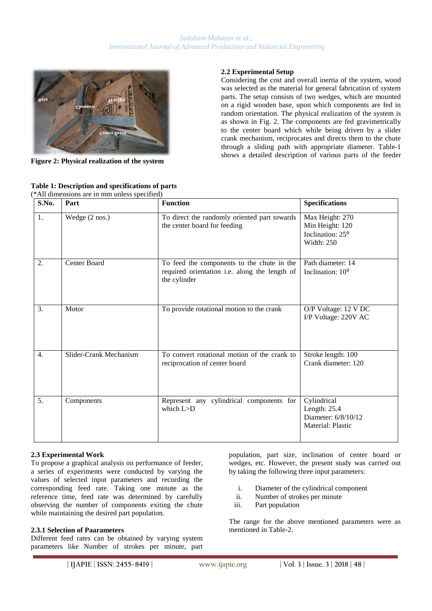

**Figure 2: Physical realization of the system**

# **2.2 Experimental Setup**

Considering the cost and overall inertia of the system, wood was selected as the material for general fabrication of system parts. The setup consists of two wedges, which are mounted on a rigid wooden base, upon which components are fed in random orientation. The physical realization of the system is as shown in Fig. 2. The components are fed gravimetrically to the center board which while being driven by a slider crank mechanism, reciprocates and directs them to the chute through a sliding path with appropriate diameter. Table-1 shows a detailed description of various parts of the feeder

| S.No.            | Part                   | <b>Function</b>                                                                                             | <b>Specifications</b>                                                   |
|------------------|------------------------|-------------------------------------------------------------------------------------------------------------|-------------------------------------------------------------------------|
| $\overline{1}$ . | Wedge (2 nos.)         | To direct the randomly oriented part towards<br>the center board for feeding                                | Max Height: 270<br>Min Height: 120<br>Inclination: 25°<br>Width: 250    |
| 2.               | Center Board           | To feed the components to the chute in the<br>required orientation i.e. along the length of<br>the cylinder | Path diameter: 14<br>Inclination: 10 <sup>o</sup>                       |
| 3.               | Motor                  | To provide rotational motion to the crank                                                                   | O/P Voltage: 12 V DC<br>I/P Voltage: 220V AC                            |
| $\overline{4}$ . | Slider-Crank Mechanism | To convert rotational motion of the crank to<br>reciprocation of center board                               | Stroke length: 100<br>Crank diameter: 120                               |
| 5.               | Components             | Represent any cylindrical components for<br>which $L > D$                                                   | Cylindrical<br>Length: 25.4<br>Diameter: 6/8/10/12<br>Material: Plastic |

#### **Table 1: Description and specifications of parts** (\*All dimensions are in mm unless specified)

# **2.3 Experimental Work**

To propose a graphical analysis on performance of feeder, a series of experiments were conducted by varying the values of selected input parameters and recording the corresponding feed rate. Taking one minute as the reference time, feed rate was determined by carefully observing the number of components exiting the chute while maintaining the desired part population.

# **2.3.1 Selection of Paarameters**

Different feed rates can be obtained by varying system parameters like Number of strokes per minute, part

population, part size, inclination of center board or wedges, etc. However, the present study was carried out by taking the following three input parameters:

- i. Diameter of the cylindrical component
- ii. Number of strokes per minute
- iii. Part population

The range for the above mentioned parameters were as mentioned in Table-2.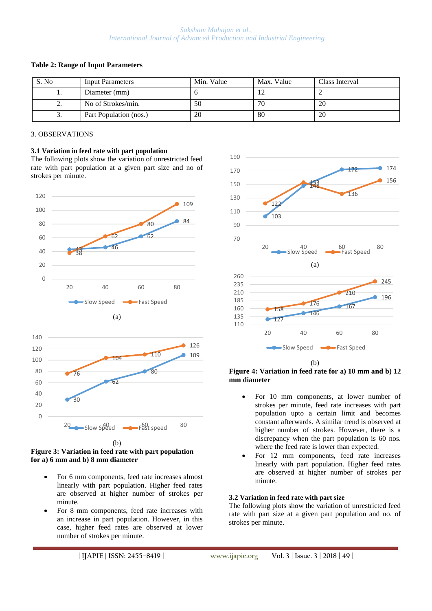# *Saksham Mahajan et al., International Journal of Advanced Production and Industrial Engineering*

| S. No    | <b>Input Parameters</b> | Min. Value | Max. Value | Class Interval |
|----------|-------------------------|------------|------------|----------------|
| . .      | Diameter (mm)           |            |            |                |
| <u>.</u> | No of Strokes/min.      | 50         | 70         | 20             |
| J.       | Part Population (nos.)  | 20         | 80         | 20             |

### **Table 2: Range of Input Parameters**

# 3. OBSERVATIONS

**3.1 Variation in feed rate with part population** The following plots show the variation of unrestricted feed rate with part population at a given part size and no of strokes per minute.





#### (b) **Figure 3: Variation in feed rate with part population for a) 6 mm and b) 8 mm diameter**

- For 6 mm components, feed rate increases almost linearly with part population. Higher feed rates are observed at higher number of strokes per minute.
- For 8 mm components, feed rate increases with an increase in part population. However, in this case, higher feed rates are observed at lower number of strokes per minute.



**Figure 4: Variation in feed rate for a) 10 mm and b) 12 mm diameter**

- For 10 mm components, at lower number of strokes per minute, feed rate increases with part population upto a certain limit and becomes constant afterwards. A similar trend is observed at higher number of strokes. However, there is a discrepancy when the part population is 60 nos. where the feed rate is lower than expected.
- For 12 mm components, feed rate increases linearly with part population. Higher feed rates are observed at higher number of strokes per minute.

# **3.2 Variation in feed rate with part size**

The following plots show the variation of unrestricted feed rate with part size at a given part population and no. of strokes per minute.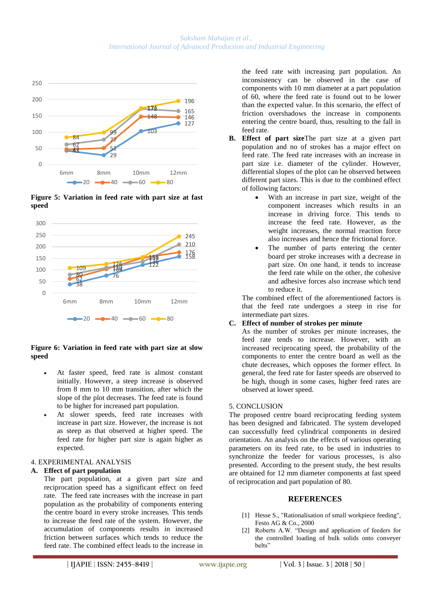

**Figure 5: Variation in feed rate with part size at fast speed**



# **Figure 6: Variation in feed rate with part size at slow speed**

- At faster speed, feed rate is almost constant initially. However, a steep increase is observed from 8 mm to 10 mm transition, after which the slope of the plot decreases. The feed rate is found to be higher for increased part population.
- At slower speeds, feed rate increases with increase in part size. However, the increase is not as steep as that observed at higher speed. The feed rate for higher part size is again higher as expected.

# 4. EXPERIMENTAL ANALYSIS

# **A. Effect of part population**

The part population, at a given part size and reciprocation speed has a significant effect on feed rate. The feed rate increases with the increase in part population as the probability of components entering the centre board in every stroke increases. This tends to increase the feed rate of the system. However, the accumulation of components results in increased friction between surfaces which tends to reduce the feed rate. The combined effect leads to the increase in

the feed rate with increasing part population. An inconsistency can be observed in the case of components with 10 mm diameter at a part population of 60, where the feed rate is found out to be lower than the expected value. In this scenario, the effect of friction overshadows the increase in components entering the centre board, thus, resulting to the fall in feed rate.

- **B. Effect of part size**The part size at a given part population and no of strokes has a major effect on feed rate. The feed rate increases with an increase in part size i.e. diameter of the cylinder. However, differential slopes of the plot can be observed between different part sizes. This is due to the combined effect of following factors:
	- With an increase in part size, weight of the component increases which results in an increase in driving force. This tends to increase the feed rate. However, as the weight increases, the normal reaction force also increases and hence the frictional force.
	- The number of parts entering the center board per stroke increases with a decrease in part size. On one hand, it tends to increase the feed rate while on the other, the cohesive and adhesive forces also increase which tend to reduce it.

The combined effect of the aforementioned factors is that the feed rate undergoes a steep in rise for intermediate part sizes.

# **C. Effect of number of strokes per minute**

As the number of strokes per minute increases, the feed rate tends to increase. However, with an increased reciprocating speed, the probability of the components to enter the centre board as well as the chute decreases, which opposes the former effect. In general, the feed rate for faster speeds are observed to be high, though in some cases, higher feed rates are observed at lower speed.

# 5. CONCLUSION

The proposed centre board reciprocating feeding system has been designed and fabricated. The system developed can successfully feed cylindrical components in desired orientation. An analysis on the effects of various operating parameters on its feed rate, to be used in industries to synchronize the feeder for various processes, is also presented. According to the present study, the best results are obtained for 12 mm diameter components at fast speed of reciprocation and part population of 80.

# **REFERENCES**

- [1] Hesse S., "Rationalisation of small workpiece feeding", Festo AG & Co., 2000
- [2] Roberts A.W. "Design and application of feeders for the controlled loading of bulk solids onto conveyer belts"